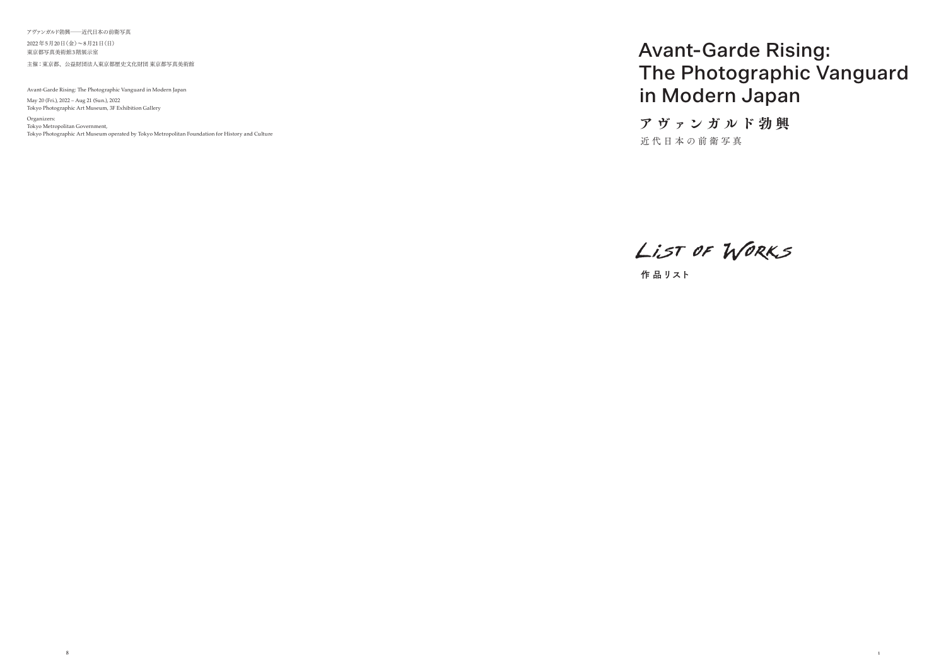### Avant-Garde Rising: The Photographic Vanguard in Modern Japan

アヴァンガルド勃興―近代日本の前衛写真

2022年5月20日(金)~8月21日(日) 東京都写真美術館3階展示室 主催:東京都、公益財団法人東京都歴史文化財団 東京都写真美術館

Avant-Garde Rising: The Photographic Vanguard in Modern Japan

May 20 (Fri.), 2022 – Aug 21 (Sun.), 2022 Tokyo Photographic Art Museum, 3F Exhibition Gallery

Organizers: Tokyo Metropolitan Government, Tokyo Photographic Art Museum operated by Tokyo Metropolitan Foundation for History and Culture  ア ヴ ァ ンガルド勃興 近代日本の前衛写真

LIST OF WORKS

作 品リスト

8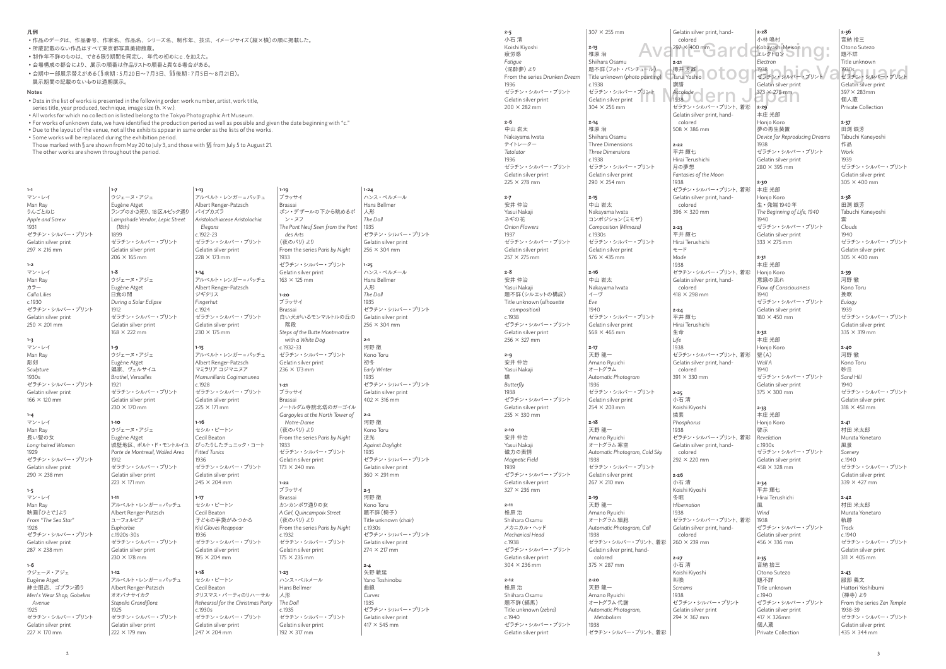Man Ray カラー *Calla Lilies* c.1930 ゼラチン・シルバー・プリント Gelatin silver print  $250 \times 201 \, \text{mm}$ 

**1-1** マン・レイ Man Ray りんごとねじ *Apple and Screw* 1931 ゼラチン・シルバー・プリント Gelatin silver print  $297 \times 216$  mm **1-2** マン・レイ

#### **1-3** マン・レイ Man Ray 彫刻 *Sculpture*  $1930s$ ゼラチン・シルバー・プリント Gelatin silver print  $166 \times 120$  mm

マン・レイ Man Ray 長い髪の女 *Long-haired Woman* 1929 ゼラチン・シルバー・プリント Gelatin silver print  $290 \times 238$  mm

ウジェーヌ・アジェ Eugène Atget ……。<br>紳士服店、ゴブラン通り *Men*'*s Wear Shop, Gobelins Avenue* 1025 ゼラチン・シルバー・プリント Gelatin silver print  $227 \times 170$  mm

**1-4**

**1-5** マン・レイ Man Ray 映画『ひとで』より *From* "*The Sea Star*" 1928 ゼラチン・シルバー・プリント Gelatin silver print 287 × 238 mm

#### **1-6**

**1-7**

ゼラチン・シルバー・プリント Gelatin silver print  $222 \times 179$  mm

 $c.1930c$ 

*(18th)* 1899

**1-8**

1912

**1-9**

1021

**1-10**

ー<br>│ ウジェーヌ・アジェ Eugène Atget ランプのかさ売り、18区ルピック通り *Lampshade Vendor, Lepic Street*  ゼラチン・シルバー・プリント Gelatin silver print  $206 \times 165$  mm ウジェーヌ・アジェ Eugène Atget 日食の間 *During a Solar Eclipse* ゼラチン・シルバー・プリント Gelatin silver print 168 × 222 mm ウジェーヌ・アジェ Eugène Atget 娼家、ヴェルサイユ *Brothel, Versailles* ゼラチン・シルバー・プリント Gelatin silver print  $230 \times 170$  mm ウジェーヌ・アジェ Eugène Atget |城壁地区、ポルト・ド・モントルイユ *Porte de Montreuil, Walled Area* ゼラチン・シルバー・プリント Gelatin silver print  $223 \times 171$  mm アルベルト・レンガー=パッチュ Albert Renger-Patzsch ユーフォルビア *Euphorbie* c.1920s-30s ゼラチン・シルバー・プリント Gelatin silver print 230 × 178 mm アルベルト・レンガー=パッチュ Albert Renger-Patzsch オオバナサイカク **1-13** アルベルト・レンガー=パッチュ Albert Renger-Patzsch パイプカズラ *Aristolochiaceae Aristolochia Elegans* c.1922-23 ゼラチン・シルバー・プリント Gelatin silver print  $228 \times 173$  mm **1-14** アルベルト・レンガー=パッチュ Albert Renger-Patzsch ジギタリス *Fingerhut* c.1924 ゼラチン・シルバー・プリント Gelatin silver print  $230 \times 175$  mm **1-15** アルベルト・レンガー=パッチュ Albert Renger-Patzsch マミラリアコジマニヌア *Mamunillaria Cogimanunea*  $c.1928$ ゼラチン・シルバー・プリント Gelatin silver print  $225 \times 171$  mm **1-16** セシル・ビートン Cecil Beaton ぴったりしたチュニック・コート *Fitted Tunics* 1936 ゼラチン・シルバー・プリント Gelatin silver print  $245 \times 204 \, \text{mm}$ **1-17** セシル・ビートン Cecil Beaton 子どもの手袋がみつかる *Kid Gloves Reappear* 1936 ゼラチン・シルバー・プリント Gelatin silver print 195 × 204 mm **1-18** セシル・ビートン Cecil Beaton クリスマス・パーティのリハーサル

*Rehearsal for the Christmas Party* **1-19** ブラッサイ Brassai ポン・デザールの下から眺めるポ ン・ヌフ *The Pont Neuf Seen from the Pont des Arts* 〈夜のパリ〉より From the series *Paris by Night* 1933 ゼラチン・シルバー・プリント Gelatin silver print  $163 \times 125$  mm **1-20** ブラッサイ Brassai 白い犬がいるモンマルトルの丘の 階段 *Steps of the Butte Montmartre with a White Dog* c.1932-33 ゼラチン・シルバー・プリント Gelatin silver print  $236 \times 173$  mm **1-21** ブラッサイ Brassai ノートルダム寺院北塔のガーゴイル *Gargoyles at the North Tower of Notre-Dame* 〈夜のパリ〉より From the series *Paris by Night* 1933 ゼラチン・シルバー・プリント Gelatin silver print  $173 \times 240$  mm **1-22** ブラッサイ Brassai カンカンポワ通りの女 *A Girl, Quincampoix Street* 〈夜のパリ〉より From the series *Paris by Night* c.1932 ゼラチン・シルバー・プリント Gelatin silver print  $175 \times 235$  mm **1-23** ハンス・ベルメール Hans Bellmer 人形 *The Doll*  $-1035$ ゼラチン・シルバー・プリント Gelatin silver print  $192 \times 317$  mm

ゼラチン・シルバー・プリント Gelatin silver print  $247 \times 204$  mm

1912

**1-11**

**1-12**

1025

*Stapelia Grandiflora*

ハンス・ベルメール Hans Bellmer 人形 *The Doll* 1935 ゼラチン・シルバー・プリント Gelatin silver print  $256 \times 304 \, \text{mm}$ **1-25** ハンス・ベルメール Hans Bellmer 人形 *The Doll* 1935 ゼラチン・シルバー・プリント Gelatin silver print  $256 \times 304 \, \text{mm}$ **2-1** 河野 徹 Kono Toru 初冬 *Early Winter* 1935 ゼラチン・シルバー・プリント Gelatin silver print  $402 \times 316$  mm **2-2** 河野 徹 Kono Toru 逆光 *Against Daylight* 1935 ゼラチン・シルバー・プリント Gelatin silver print  $360 \times 291$  mm **2-3** 河野 徹 Kono Toru 題不詳(椅子) Title unknown (*chair*)  $c$  1930s ゼラチン・シルバー・プリント Gelatin silver print  $274 \times 217$  mm **2-4** 矢野 敏延 Yano Toshinobu 曲線 *Curves* 1935 ゼラチン・シルバー・プリント Gelatin silver print  $417 \times 545$  mm

 Those marked with **§** are shown from May 20 to July 3, and those with **§§** from July 5 to August 21. The other works are shown throughout the period.

From the series *Drunken Dream* ゼラチン・シルバー・プリント  $307 \times 255$  mm **2-13** 椎原 治 Shiihara Osamu c.1938  $304 \times 256$  mm

中山 岩太 Nakayama Iwata テイトレーター *Tatolator* ゼラチン・シルバー・プリント Gelatin silver print  $225 \times 279$  mm

安井 仲治 Yasui Nakaji ネギの花 *Onion Flowers* ゼラチン・シルバー・プリント Gelatin silver print  $257 \times 275$  mm

安井 仲治 Yasui Nakaji 題不詳(シルエットの構成) Title unknown (*silhouette composition*) c.1938 ゼラチン・シルバー・プリント Gelatin silver print  $256 \times 327$  mm

安井 仲治 Yasui Nakaji *Butterfly* ゼラチン・シルバー・プリント Gelatin silver print  $255 \times 330$  mm

メカニカル・ヘッド *Mechanical Head* ゼラチン・シルバー・プリント Gelatin silver print  $304 \times 236$  mm

ゼラチン・シルバー・プリント Gelatin silver print  $290 \times 254$  mm

ゼラチン・シルバー・プリント Gelatin silver print  $576 \times 435$  mm

ゼラチン・シルバー・プリント Gelatin silver print  $568 \times 465$  mm

ゼラチン・シルバー・プリント Gelatin silver print  $254 \times 203$  mm

**2-18** 天野 龍一 Amano Ryuichi オートグラム 実空

**1-24**

ゼラチン・シルバー・プリント Gelatin silver print  $267 \times 210$  mm

ゼラチン・シルバー・プリント、着彩 Gelatin silver print, hand-

#### 凡例

• 作品のデータは、作品番号、作家名、作品名、シリーズ名、制作年、技法、イメージサイズ(縦×横)の順に掲載した。

Ava<sup>297 × 400 mm</sup> ard Kobayashi Meison ng .  $\begin{array}{ccc} \text{H2} - \text{L1} & \text{M2} & \text{M3} & \text{M4} \ \text{T4} & \text{S1} & \text{M4} & \text{M4} \ \text{T4} & \text{S2} & \text{M4} & \text{M4} \ \text{T4} & \text{S3} & \text{M4} & \text{M4} \ \text{T4} & \text{S4} & \text{S4} & \text{S4} & \text{S4} \ \text{R4} & \text{S4} & \text{S4} & \text{S4} & \text{S4} & \text{S4} \ \text{R4} & \text{S4} & \$ **2-28** 小林 鳴村 Kobayashi Meison エレクトロン *Electron* 1938 ゼラチン・シルバー・プリント Gelatin silver print 373 × 278 mm

> **2-29** 本庄 光郎 Honjo Koro 夢の再生装置 *Device for Reproducing Dreams* 1038 ゼラチン・シルバー・プリント Gelatin silver print  $280 \times 395$  mm

**2-30** 本庄 光郎 Honjo Koro 生・発端 1940年 *The Beginning of Life, 1940* 1940 ゼラチン・シルバー・プリント Gelatin silver print  $222 \times 275$  mm

- 所蔵記載のない作品はすべて東京都写真美術館蔵。
- 制作年不詳のものは、できる限り期間を同定し、年代の初めにc.を加えた。
- 会場構成の都合により、展示の順番は作品リストの順番と異なる場合がある。
- 会期中一部展示替えがある(**§**前期:5月20日~7月3日、**§§**後期:7月5日~8月21日)。 展示期間の記載のないものは通期展示。

**2-31** 本庄 光郎 Honjo Koro 意識の流れ *Flow of Consciousness* 1940 ゼラチン・シルバー・プリント Gelatin silver print  $180 \times 450$  mm

**2-32** 本庄 光郎 Honjo Koro 壁(A) *Wall A* 1940 ゼラチン・シルバー・プリント Gelatin silver print  $375 \times 300$  mn

**2-33** 本庄 光郎 Honjo Koro 啓示 *Revelation*  $c$ . 1930 $c$ ゼラチン・シルバー・プリント Gelatin silver print  $458 \times 328$  mm

- Notes
- Data in the list of works is presented in the following order: work number, artist, work title,

series title, year produced, technique, image size  $(h, \times w)$ .

**2-34** 平井 輝七 Hirai Terushichi 風 *Wind* 1938 ゼラチン・シルバー・プリント Gelatin silver print  $456 \times 336$  mm

**2-37** 田渕 銀芳 Tabuchi Kaneyoshi 作品 *Work* 1939 ゼラチン・シルバー・プリント Gelatin silver print  $305 \times 400$  mm

**2-38** 田渕 銀芳 Tabuchi Kaneyoshi 雲 *Clouds* 1940 ゼラチン・シルバー・プリント Gelatin silver print  $305 \times 400$  mm

**2-39** 河野 徹 Kono Toru 挽歌 *Eulogy* 1939 ゼラチン・シルバー・プリント Gelatin silver print  $335 \times 319$  mm

- All works for which no collection is listed belong to the Tokyo Photographic Art Museum.
- For works of unknown date, we have identified the production period as well as possible and given the date beginning with "c."
- Due to the layout of the venue, not all the exhibits appear in same order as the lists of the works.
- Some works will be replaced during the exhibition period.

**2-40** 河野 徹 Kono Toru 砂丘 *Sand Hill*  $1940$ ゼラチン・シルバー・プリント Gelatin silver print  $318 \times 451$  mm

**2-41** 村田 半大郎 Murata Yonetaro 風景 *Scenery*  $c.1940$ ゼラチン・シルバー・プリント Gelatin silver print  $339 \times 427$  mm

**2-42** 村田 米太郎 Murata Yonetaro 軌跡 *Track* c.1940 ゼラチン・シルバー・プリント Gelatin silver print  $311 \times 405$  mm

**2-43** 服部 義文 Hattori Yoshibumi 〈禅寺〉より From the series *Zen Temple* 1938-39 ゼラチン・シルバー・プリント Gelatin silver print  $435 \times 344$  mm

**2-5** 小石 清

Koishi Kiyoshi 疲労感 *Fatigue* 〈泥酔夢〉より 1936 Gelatin silver print  $200 \times 282$  mm **2-6** 1936 **2-7** 1937 **2-8 2-9** 蝶 1938 **2-10** 1939 **2-11** c.1938 **2-12**

安井 仲治 Yasui Nakaji 磁力の表情 *Magnetic Field* ゼラチン・シルバー・プリント Gelatin silver print  $327 \times 236$  mm 椎原 治 Shiihara Osamu

Shiihara Osamu 題不詳(縞馬) Title unknown (*zebra*) ゼラチン・シルバー・プリント

#### $\frac{373 \times 278 \text{ mm}}{1938}$ <br>  $\frac{1338}{47}$ 題不詳(フォト・パンチュール) Title unknown (*photo painting*) ゼラチン・シルバー・プリント Gelatin silver print **III** Gelatin silver print, handcolored 297 × 400 mm **2-21** 樽井 芳雄 Tarui Yoshio 讃譜 1938 Gelatin silver print, hand-

椎原 治 c.1940 Gelatin silver print **2-14** 椎原 治 Shiihara Osamu Three Dimensions *Three Dimensions* c.1938

**2-15** 中山 岩太 Nakayama Iwata コンポジション(ミモザ) *Composition (Mimoza)*

c.1930s

**2-16** 中山 岩太 Nakayama Iwata イーヴ *Eve* 1940

**2-17** 天野 龍一 Amano Ryuichi オートグラム *Automatic Photogram*

1936

*Automatic Photogram, Cold Sky*

1938

**2-19** 天野 龍一 Amano Ryuichi オートグラム 細胞 *Automatic Photogram, Cell*

1938

colored 375 × 287 mm

**2-20** 天野 龍一 Amano Ryuichi オートグラム代謝 *Automatic Photogram, Metabolism* 1938

ゼラチン・シルバー・プリント、着彩

colored 508 × 386 mm **2-22** 平井 輝七

Hirai Terushichi 月の夢想 *Fantasies of the Moon* 1938 ゼラチン・シルバー・プリント、着彩 Gelatin silver print, handcolored 396 × 320 mm

**2-23** 平井 輝七 Hirai Terushichi モード *Mode* 1938 ゼラチン・シルバー・プリント、着彩 Gelatin silver print, handcolored

 $418 \times 298$  mm

**2-24** 平井 輝七 Hirai Terushichi 生命 *Life* 1938 ゼラチン・シルバー・プリント、着彩 Gelatin silver print, hand-

colored 391 × 330 mm

**2-25** 小石 清 Koishi Kiyoshi 燐素 *Phosphorus* 1029 ゼラチン・シルバー・プリント、着彩 Gelatin silver print, hand-

colored 292 × 220 mm **2-26** 小石 清

Koishi Kiyoshi 冬眠 *Hibernation* 1938 ゼラチン・シルバー・プリント、着彩 Gelatin silver print, handcolored 260 × 239 mm **2-27**

小石 清 Koishi Kiyoshi 叫喚 *Screams* 1938 ゼラチン・シルバー・プリント Gelatin silver print 294 × 367 mm

**2-35** 音納 捨三 Otono Sutezo 題不詳 Title unknown c.1940 ゼラチン・シルバー・プリント Gelatin silver print  $417 \times 326$ mm 個人蔵 Private Collection

**2-36** 吉納 捨三 Otono Sutezo 題不詳 Title unknown  $1930c - 1$ ゼラチン・シルバー・プリント Gelatin silver print 397× 283mm 個人蔵 Private Collection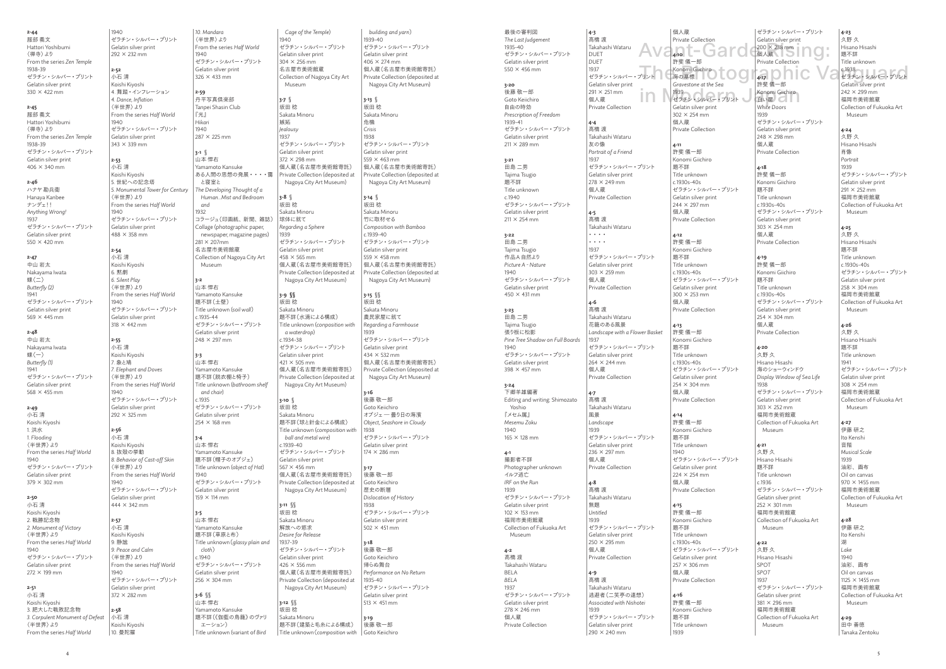**2-44** 服部 義文 Hattori Yoshibumi 〈禅寺〉より From the series *Zen Temple* 1938-39 ゼラチン・シルバー・プリント Gelatin silver print  $330 \times 422$  mm **2-45**

 $1940$ 

**2-46** ハナヤ勘兵衛 Hanaya Kanbee ナンデェ!! *Anything Wrong!* 1937 ゼラチン・シルバー・プリント Gelatin silver print  $550 \times 420$  mm

服部 義文 Hattori Yoshibumi 〈禅寺〉より From the series *Zen Temple* 1938-39

#### $406 \times 340$  mm

ゼラチン・シルバー・プリント Gelatin silver print

Koishi Kiyoshi 1. 洪水 *1. Flooding* 〈半世界〉より From the series *Half World*  $1040$ ゼラチン・シルバー・プリント Gelatin silver print  $379 \times 302$  mm

#### **2-47**

中山岩大 Nakayama Iwata 蝶(二) *Butterfly (2)* 1941 ゼラチン・シルバー・プリント Gelatin silver print 569 × 445 mm

#### **2-48**

中山 岩太 Nakayama Iwata  $#(-)$ *Butterfly (1)* 1941 ゼラチン・シルバー・プリント Gelatin silver print 568 × 455 mm

#### **2-49** 小石 清

**2-50** 小石 清 Koishi Kiyoshi 2. 戦勝記念物 *2. Monument of Victory* 〈半世界〉より From the series *Half World*  $1040$ ゼラチン・シルバー・プリント Gelatin silver print  $272 \times 199$  mm **2-51** 小石 清

**2-52** 小石 清

1940

**2-53** 小石 清

 $1940$ 

**2-54** 小石 清

6. 黙劇

 $1940$ 

Koishi Kiyoshi 3. 肥大した戦敗記念物 *3. Corpulent Monument of Defeat* 〈半世界〉より From the series *Half World* **2-58** 小石 清 10. 曼陀羅

**2-55** 小石 清

1940

**2-56** 小石 清

1940

**2-57** 小石 清

9. 静謐

1940

ゼラチン・シルバー・プリント Gelatin silver print  $292 \times 232$  mm Koishi Kiyoshi 4. 舞踏・インフレーション *4. Dance, Inflation* 〈半世界〉より From the series *Half World* ゼラチン・シルバー・プリント Gelatin silver print  $343 \times 339$  mm Koishi Kiyoshi 5. 世紀への記念塔 *5. Monumental Tower for Century* 〈半世界〉より From the series *Half World* ゼラチン・シルバー・プリント Gelatin silver print  $488 \times 358$  mm Koishi Kiyoshi *6. Silent Play* 〈半世界〉より From the series *Half World* ゼラチン・シルバー・プリント Gelatin silver print  $318 \times 442 \, \text{mm}$ Koishi Kiyoshi 7. 象と鳩 *7. Elephant and Doves* 〈半世界〉より From the series *Half World* ゼラチン・シルバー・プリント Gelatin silver print  $292 \times 325$  mm Koishi Kiyoshi 8. 抜殻の挙動 *8. Behavior of Cast-off Skin* 〈半世界〉より From the series *Half World* ゼラチン・シルバー・プリント Gelatin silver print  $444 \times 342$  mm Koishi Kiyoshi *9. Peace and Calm* 〈半世界〉より From the series *Half World* ゼラチン・シルバー・プリント Gelatin silver print  $372 \times 282$  mm Koishi Kiyoshi *10. Mandara* 〈半世界〉より From the series *Half World* 1940 ゼラチン・シルバー・プリント Gelatin silver print  $326 \times 433$  mm **2-59** 丹平写真倶楽部 Tanpei Shasin Club 『光』 *Hikari* 1940 287 × 225 mm **3-1 §** 山本 悍右 Yamamoto Kansuke ある人間の思想の発展・・・・靄 と寝室と *The Developing Thought of a Human...Mist and Bedroom and* 1932 コラージュ(印画紙、新聞、雑誌) Collage (photographic paper, newspaper, magazine pages)  $291 \times 207$ mm 名古屋市美術館蔵 Collection of Nagoya City Art Museum **3-2** 山本 悍右 Yamamoto Kansuke 題不詳(土壁) Title unknown (*soil wall*)  $c.1935 - 44$ ゼラチン・シルバー・プリント Gelatin silver print 248 × 297 mm **3-3** 山本 悍右 Yamamoto Kansuke 題不詳(脱衣棚と椅子) Title unknown (*bathroom shelf and chair*)  $c.1935$ ゼラチン・シルバー・プリント Gelatin silver print  $254 \times 168$  mm **3-4** 山本 悍右 Yamamoto Kansuke 題不詳(帽子のオブジェ) Title unknown (*object of Hat*) 1940 ゼラチン・シルバー・プリント Gelatin silver print  $159 \times 114 \, \text{mm}$ **3-5** 山本 悍右 Yamamoto Kansuke 題不詳(草原と布) Title unknown(*glassy plain and cloth*)  $c.1940$ ゼラチン・シルバー・プリント Gelatin silver print  $256 \times 304 \, \text{mm}$ **3-6 §§** 山本 悍右 Yamamoto Kansuke 題不詳(《伽藍の鳥籠》のヴァリ エーション)

Title unknown (variant of *Bird* 

*Cage of the Temple*) 1940 ゼラチン・シルバー・プリント Gelatin silver print  $304 \times 256$  mm 名古屋市美術館蔵 Collection of Nagoya City Art Museum **3-7 §** 坂田 稔 Sakata Minoru 嫉妬 *Jealousy* 1937 ゼラチン・シルバー・プリント Gelatin silver print  $372 \times 298$  mm 個人蔵(名古屋市美術館寄託) Private Collection (deposited at Nagoya City Art Museum) **3-8 §** 坂田 稔 Sakata Minoru 球体に就て *Regarding a Sphere* 1939 ゼラチン・シルバー・プリント Gelatin silver print  $458 \times 565$  mm 個人蔵(名古屋市美術館寄託) Private Collection (deposited at Nagoya City Art Museum) **3-9 §§** 坂田 稔 Sakata Minoru 題不詳(水滴による構成) Title unknown (*conposition with a waterdrop*) c.1934-38 ゼラチン・シルバー・プリント Gelatin silver print  $421 \times 505$  mm 個人蔵(名古屋市美術館寄託) Private Collection (deposited at Nagoya City Art Museum) **3-10 §** 坂田 稔 Sakata Minoru 題不詳(球と針金による構成) Title unknown (*composition with ball and metal wire*)  $c.1939 - 40$ ゼラチン・シルバー・プリント Gelatin silver print 567× 456 mm 個人蔵(名古屋市美術館寄託) Private Collection (deposited at Nagoya City Art Museum) **3-11 §§** 坂田 稔 Sakata Minoru 解放への欲求 *Desire for Release* 1937-39 ゼラチン・シルバー・プリント Gelatin silver print  $426 \times 556$  mm 個人蔵(名古屋市美術館寄託) Private Collection (deposited at Nagoya City Art Museum) **3-12 §§** 坂田 稔 Sakata Minoru 題不詳(建築と毛糸による構成)

**4-11** 許斐 儀一郎 Konomi Giichiro 題不詳 Title unknown  $c.1030c.40c$ 

244 × 297 mm 個人蔵 Private Collection

 $300 \times 253$  mm 個人蔵 Private Collection

 $254 \times 304$  mm 個人蔵 Private Collection

**4-14** 許斐 儀一郎 Konomi Giichiro 題不詳 Title unknown  $1040$ 

 $224 \times 254$  mm

Avant-Garde 200 × 238 mm ing: ゼラチン・シルバー・プリント Gelatin silver print 個人蔵 Private Collection

in Monomi Giichiro<br>ゼラチン・シルバー・プリント 白い扉 **4-17** 許斐 儀一郎 Konomi Giichiro 白い扉〇 *White Doors* 1939 ゼラチン・シルバー・プリント Gelatin silver print 248 × 298 mm 個人蔵 Private Collection

プリント | Chang Konomi Giichiro | 100 | 417 | 0 | 10 | 0 | 12 | 1338<br>アリント | Changton at the Sea **4-23** 久野 久 Hisano Hisashi 題不詳 Title unknown c.1938 Gelatin silver print  $242 \times 299$  mm 福岡市美術館蔵 Collection of Fukuoka Art Museum

Title unknown(*composition with building and yarn*) 1939-40 ゼラチン・シルバー・プリント Gelatin silver print  $406 \times 274$  mm 個人蔵(名古屋市美術館寄託) Private Collection (deposited at Nagoya City Art Museum) **3-13 §** 坂田 稔 Sakata Minoru 危機 *Crisis* 1938 ゼラチン・シルバー・プリント Gelatin silver print 559 × 463 mm 個人蔵(名古屋市美術館寄託) Private Collection (deposited at Nagoya City Art Museum) **3-14 §** 坂田 稔 Sakata Minoru 竹に取材せる *Composition with Bamboo* c.1939-40 ゼラチン・シルバー・プリント Gelatin silver print  $559 \times 458$  mm 個人蔵(名古屋市美術館寄託) Private Collection (deposited at Nagoya City Art Museum) **3-15 §§** 坂田 稔 Sakata Minoru 農民家屋に就て *Regarding a Farmhouse* 1939 ゼラチン・シルバー・プリント Gelatin silver print  $434 \times 532$  mm 個人蔵(名古屋市美術館寄託) Private Collection (deposited at Nagoya City Art Museum) **3-16** 後藤 敬一郎 Goto Keiichiro オブジェ― 曇り日の海濱 *Object, Seashore in Cloudy* 1039 ゼラチン・シルバー・プリント Gelatin silver print  $174 \times 286$  mm **3-17** 後藤 敬一郎 Goto Keiichiro 歴史の断層 *Dislocation of History* 1938 ゼラチン・シルバー・プリント Gelatin silver print  $502 \times 451$  mm **3-18** 後藤 敬一郎 Goto Keiichiro 帰らぬ舞台 *Performance on No Return* 1935-40 ゼラチン・シルバー・プリント Gelatin silver print  $513 \times 451$  mm **3-19** 後藤 敬一郎 Goto Keiichiro

最後の審判図 *The Last Judgement* 1935-40 ゼラチン・シルバー・プリント Gelatin silver print  $550 \times 456$  mm **3-20** 後藤 敬一郎 Goto Keiichiro 自由の時効 *Prescription of Freedom* 1939-41 ゼラチン・シルバー・プリント Gelatin silver print  $211 \times 289$  mm **3-21** 田島 二男 Tajima Tsugio 題不詳 Title unknown c.1940 ゼラチン・シルバー・プリント Gelatin silver print  $211 \times 254$  mm **3-22** 田島 二男 Tajima Tsugio 作品A 自然より *Picture A - Nature* 1940 ゼラチン・シルバー・プリント Gelatin silver print  $450 \times 431$  mm **3-23** 田島 二男 Tajima Tsugio 張り板に松影 *Pine Tree Shadow on Full Boards* 1940 ゼラチン・シルバー・プリント Gelatin silver print  $398 \times 457$  mm **3-24** 下郷羊雄編著 Editing and writing: Shimozato Yoshio 『メセム属』 *Mesemu Zoku*  $1040$ 165 × 128 mm **4-1** 撮影者不詳 Photographer unknown イルフ逃亡 *IRF on the Run* 1939 ゼラチン・シルバー・プリント Gelatin silver print  $102 \times 153 \, \text{mm}$ 福岡市美術館蔵 Collection of Fukuoka Art Museum **4-2** 高橋 渡 Takahashi Wataru BELA *BELA* 1937 ゼラチン・シルバー・プリント Gelatin silver print  $278 \times 246$  mm 個人蔵 Private Collection

**4-3** 高橋 渡 Takahashi Wataru DUET *DUET* 1937 ゼラチン・シルバー・プリント Gelatin silver print  $291 \times 251$  mm 個人蔵 Private Collection **4-4** 高橋 渡 Takahashi Wataru 友の像 *Portrait of a Friend* 1937 ゼラチン・シルバー・プリント Gelatin silver print  $279 \times 249$  mm 個人蔵 Private Collection **4-5** 高橋 渡 Takahashi Wataru ・・・・ ・・・・ 1937 ゼラチン・シルバー・プリント Gelatin silver print 303 × 259 mm 個人蔵 Private Collection

#### **4-6** 高橋 渡 Takahashi Wataru 花籠のある風景 *Landscape with a Flower Basket* 1937 ゼラチン・シルバー・プリント Gelatin silver print  $264 \times 244$  mm 個人蔵 Private Collection

**4-7** 高橋 渡 Takahashi Wataru 風景 *Landscape* 1939 ゼラチン・シルバー・プリント Gelatin silver print  $236 \times 297$  mm 個人蔵 Private Collection

**4-8** 高橋 渡 Takahashi Wataru 無題 *Untitled* 1939 ゼラチン・シルバー・プリント Gelatin silver print  $250 \times 295$  mm 個人蔵 Private Collection

**4-9** 高橋 渡 Takahashi Wataru 逃避者(二笑亭の連想) *Associated with Nishotei* 1939 ゼラチン・シルバー・プリント Gelatin silver print 290 × 240 mm

個人蔵

**4-10** 許斐 儀一郎

Private Collection Konomi Giichiro 海の墓標 し *Gravestone at the Sea*

1939

Gelatin silver print  $302 \times 254$  mm 個人蔵 Private Collection

ゼラチン・シルバー・プリント Gelatin silver print

**4-12** 許斐 儀一郎 Konomi Giichiro 題不詳 Title unknown c.1930s-40s

ゼラチン・シルバー・プリント Gelatin silver print

**4-13** 許斐 儀一郎 Konomi Giichiro 題不詳 Title unknown c.1930s-40s

ゼラチン・シルバー・プリント Gelatin silver print

ゼラチン・シルバー・プリント Gelatin silver print

個人蔵 Private Collection **4-15** 許斐 儀一郎 Konomi Giichiro 題不詳 Title unknown c.1930s-40s ゼラチン・シルバー・プリント Gelatin silver print  $257 \times 306$  mm 個人蔵 Private Collection

**4-16** 許斐 儀一郎 Konomi Giichiro 題不詳 Title unknown 1939

 $\frac{4}{3}$ 

**4-18** 許斐 儀一郎 Konomi Giichiro 題不詳 Title unknown c.1930s-40s ゼラチン・シルバー・プリント Gelatin silver print  $303 \times 254$  mm 個人蔵 Private Collection

**4-19** 許斐 儀一郎 Konomi Giichiro 題不詳 Title unknown c.1930s-40s ゼラチン・シルバー・プリント Gelatin silver print  $254 \times 304 \, \text{mm}$ 個人蔵 Private Collection

**4-20** 久野 久 Hisano Hisashi 海のショーウィンドウ *Display Window of Sea Life* 1038 ゼラチン・シルバー・プリント Gelatin silver print 303 × 252 mm 福岡市美術館蔵 Collection of Fukuoka Art Museum

**4-21** 久野 久 Hisano Hisashi 題不詳 Title unknown c.1936 ゼラチン・シルバー・プリント Gelatin silver print  $252 \times 301 \, \text{mm}$ 福岡市美術館蔵 Collection of Fukuoka Art Museum

**4-22** 久野 久 Hisano Hisashi SPOT *SPOT* 1937 ゼラチン・シルバー・プリント Gelatin silver print  $381 \times 296$  mm 福岡市美術館蔵 Collection of Fukuoka Art Museum

**4-24** 久野 久 Hisano Hisashi 肖像 *Portrait* 1939 ゼラチン・シルバー・プリント Gelatin silver print  $291 \times 252$  mm 福岡市美術館蔵 Collection of Fukuoka Art Museum

**4-25** 久野 久 Hisano Hisashi 題不詳 Title unknown c.1930s-40s ゼラチン・シルバー・プリント Gelatin silver print  $258 \times 304 \, \text{mm}$ 福岡市美術館蔵 Collection of Fukuoka Art Museum

**4-26** 久野 久 Hisano Hisashi 題不詳 Title unknown 1941 ゼラチン・シルバー・プリント Gelatin silver print 308 × 254 mm 福岡市美術館蔵 Collection of Fukuoka Art Museum

**4-27** 伊藤 研之 Ito Kenshi 音階 *Musical Scale* 1939 油彩、画布 Oil on canvas  $970 \times 1455$  mm 福岡市美術館蔵 Collection of Fukuoka Art Museum

**4-28** .<br>伊藤 研之 Ito Kenshi 湖 *Lake* 1940 油彩、画布 Oil on canvas  $1125 \times 1455$  mm 福岡市美術館蔵 Collection of Fukuoka Art Museum

**4-29** 田中 善徳 Tanaka Zentoku